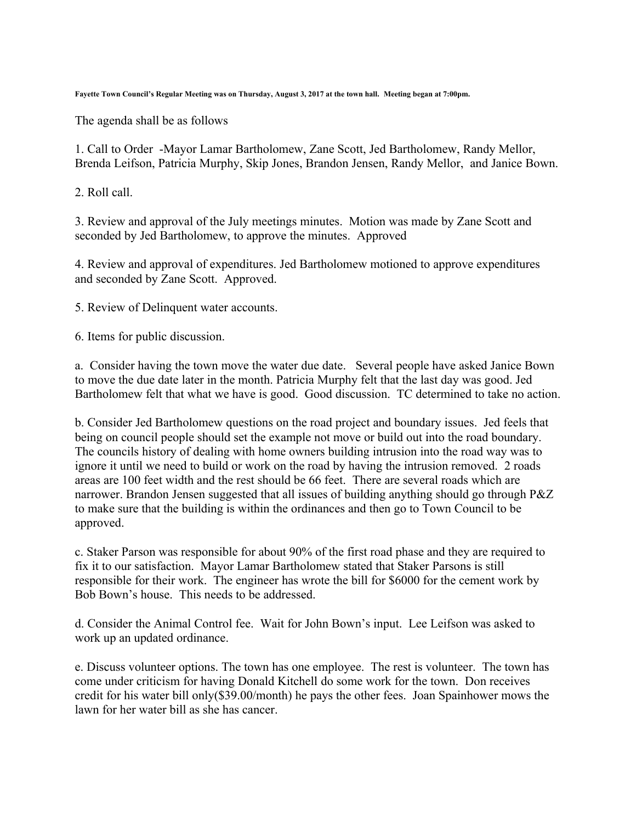**Fayette Town Council's Regular Meeting was on Thursday, August 3, 2017 at the town hall. Meeting began at 7:00pm.**

The agenda shall be as follows

1. Call to Order -Mayor Lamar Bartholomew, Zane Scott, Jed Bartholomew, Randy Mellor, Brenda Leifson, Patricia Murphy, Skip Jones, Brandon Jensen, Randy Mellor, and Janice Bown.

2. Roll call.

3. Review and approval of the July meetings minutes. Motion was made by Zane Scott and seconded by Jed Bartholomew, to approve the minutes. Approved

4. Review and approval of expenditures. Jed Bartholomew motioned to approve expenditures and seconded by Zane Scott. Approved.

5. Review of Delinquent water accounts.

6. Items for public discussion.

a. Consider having the town move the water due date. Several people have asked Janice Bown to move the due date later in the month. Patricia Murphy felt that the last day was good. Jed Bartholomew felt that what we have is good. Good discussion. TC determined to take no action.

b. Consider Jed Bartholomew questions on the road project and boundary issues. Jed feels that being on council people should set the example not move or build out into the road boundary. The councils history of dealing with home owners building intrusion into the road way was to ignore it until we need to build or work on the road by having the intrusion removed. 2 roads areas are 100 feet width and the rest should be 66 feet. There are several roads which are narrower. Brandon Jensen suggested that all issues of building anything should go through P&Z to make sure that the building is within the ordinances and then go to Town Council to be approved.

c. Staker Parson was responsible for about 90% of the first road phase and they are required to fix it to our satisfaction. Mayor Lamar Bartholomew stated that Staker Parsons is still responsible for their work. The engineer has wrote the bill for \$6000 for the cement work by Bob Bown's house. This needs to be addressed.

d. Consider the Animal Control fee. Wait for John Bown's input. Lee Leifson was asked to work up an updated ordinance.

e. Discuss volunteer options. The town has one employee. The rest is volunteer. The town has come under criticism for having Donald Kitchell do some work for the town. Don receives credit for his water bill only(\$39.00/month) he pays the other fees. Joan Spainhower mows the lawn for her water bill as she has cancer.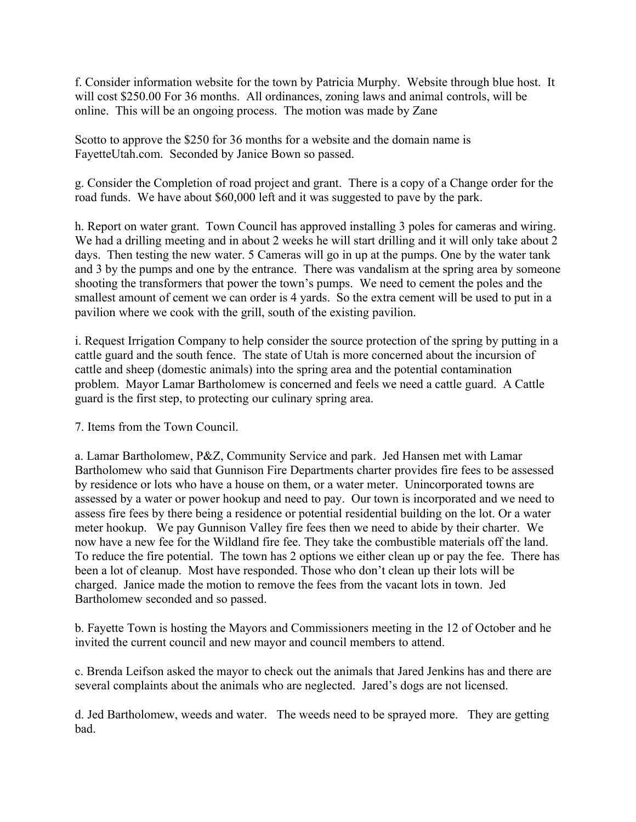f. Consider information website for the town by Patricia Murphy. Website through blue host. It will cost \$250.00 For 36 months. All ordinances, zoning laws and animal controls, will be online. This will be an ongoing process. The motion was made by Zane

Scotto to approve the \$250 for 36 months for a website and the domain name is FayetteUtah.com. Seconded by Janice Bown so passed.

g. Consider the Completion of road project and grant. There is a copy of a Change order for the road funds. We have about \$60,000 left and it was suggested to pave by the park.

h. Report on water grant. Town Council has approved installing 3 poles for cameras and wiring. We had a drilling meeting and in about 2 weeks he will start drilling and it will only take about 2 days. Then testing the new water. 5 Cameras will go in up at the pumps. One by the water tank and 3 by the pumps and one by the entrance. There was vandalism at the spring area by someone shooting the transformers that power the town's pumps. We need to cement the poles and the smallest amount of cement we can order is 4 yards. So the extra cement will be used to put in a pavilion where we cook with the grill, south of the existing pavilion.

i. Request Irrigation Company to help consider the source protection of the spring by putting in a cattle guard and the south fence. The state of Utah is more concerned about the incursion of cattle and sheep (domestic animals) into the spring area and the potential contamination problem. Mayor Lamar Bartholomew is concerned and feels we need a cattle guard. A Cattle guard is the first step, to protecting our culinary spring area.

7. Items from the Town Council.

a. Lamar Bartholomew, P&Z, Community Service and park. Jed Hansen met with Lamar Bartholomew who said that Gunnison Fire Departments charter provides fire fees to be assessed by residence or lots who have a house on them, or a water meter. Unincorporated towns are assessed by a water or power hookup and need to pay. Our town is incorporated and we need to assess fire fees by there being a residence or potential residential building on the lot. Or a water meter hookup. We pay Gunnison Valley fire fees then we need to abide by their charter. We now have a new fee for the Wildland fire fee. They take the combustible materials off the land. To reduce the fire potential. The town has 2 options we either clean up or pay the fee. There has been a lot of cleanup. Most have responded. Those who don't clean up their lots will be charged. Janice made the motion to remove the fees from the vacant lots in town. Jed Bartholomew seconded and so passed.

b. Fayette Town is hosting the Mayors and Commissioners meeting in the 12 of October and he invited the current council and new mayor and council members to attend.

c. Brenda Leifson asked the mayor to check out the animals that Jared Jenkins has and there are several complaints about the animals who are neglected. Jared's dogs are not licensed.

d. Jed Bartholomew, weeds and water. The weeds need to be sprayed more. They are getting bad.